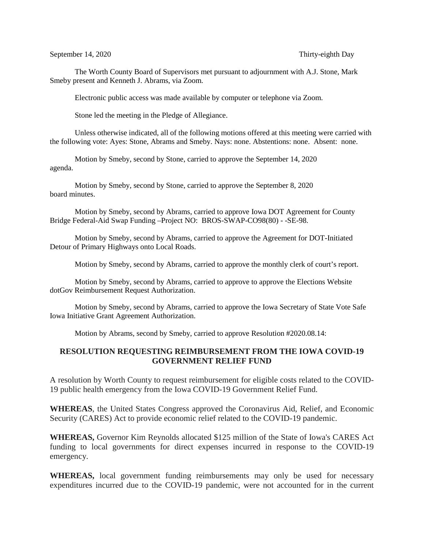September 14, 2020 Thirty-eighth Day

The Worth County Board of Supervisors met pursuant to adjournment with A.J. Stone, Mark Smeby present and Kenneth J. Abrams, via Zoom.

Electronic public access was made available by computer or telephone via Zoom.

Stone led the meeting in the Pledge of Allegiance.

Unless otherwise indicated, all of the following motions offered at this meeting were carried with the following vote: Ayes: Stone, Abrams and Smeby. Nays: none. Abstentions: none. Absent: none.

Motion by Smeby, second by Stone, carried to approve the September 14, 2020 agenda.

Motion by Smeby, second by Stone, carried to approve the September 8, 2020 board minutes.

Motion by Smeby, second by Abrams, carried to approve Iowa DOT Agreement for County Bridge Federal-Aid Swap Funding –Project NO: BROS-SWAP-CO98(80) - -SE-98.

Motion by Smeby, second by Abrams, carried to approve the Agreement for DOT-Initiated Detour of Primary Highways onto Local Roads.

Motion by Smeby, second by Abrams, carried to approve the monthly clerk of court's report.

Motion by Smeby, second by Abrams, carried to approve to approve the Elections Website dotGov Reimbursement Request Authorization.

Motion by Smeby, second by Abrams, carried to approve the Iowa Secretary of State Vote Safe Iowa Initiative Grant Agreement Authorization.

Motion by Abrams, second by Smeby, carried to approve Resolution #2020.08.14:

## **RESOLUTION REQUESTING REIMBURSEMENT FROM THE IOWA COVID-19 GOVERNMENT RELIEF FUND**

A resolution by Worth County to request reimbursement for eligible costs related to the COVID-19 public health emergency from the Iowa COVID-19 Government Relief Fund.

**WHEREAS**, the United States Congress approved the Coronavirus Aid, Relief, and Economic Security (CARES) Act to provide economic relief related to the COVID-19 pandemic.

**WHEREAS,** Governor Kim Reynolds allocated \$125 million of the State of Iowa's CARES Act funding to local governments for direct expenses incurred in response to the COVID-19 emergency.

**WHEREAS,** local government funding reimbursements may only be used for necessary expenditures incurred due to the COVID-19 pandemic, were not accounted for in the current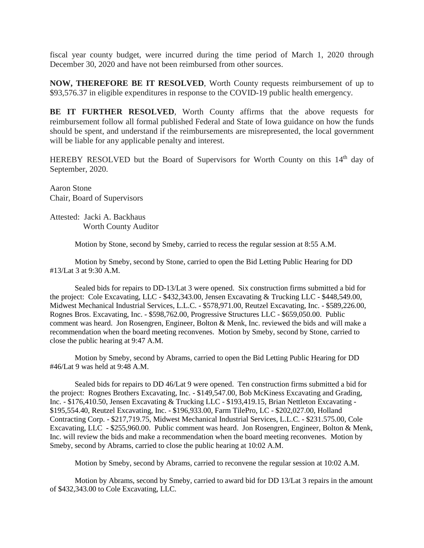fiscal year county budget, were incurred during the time period of March 1, 2020 through December 30, 2020 and have not been reimbursed from other sources.

**NOW, THEREFORE BE IT RESOLVED**, Worth County requests reimbursement of up to \$93,576.37 in eligible expenditures in response to the COVID-19 public health emergency.

**BE IT FURTHER RESOLVED**, Worth County affirms that the above requests for reimbursement follow all formal published Federal and State of Iowa guidance on how the funds should be spent, and understand if the reimbursements are misrepresented, the local government will be liable for any applicable penalty and interest.

HEREBY RESOLVED but the Board of Supervisors for Worth County on this 14<sup>th</sup> day of September, 2020.

Aaron Stone Chair, Board of Supervisors

Attested: Jacki A. Backhaus Worth County Auditor

Motion by Stone, second by Smeby, carried to recess the regular session at 8:55 A.M.

Motion by Smeby, second by Stone, carried to open the Bid Letting Public Hearing for DD #13/Lat 3 at 9:30 A.M.

Sealed bids for repairs to DD-13/Lat 3 were opened. Six construction firms submitted a bid for the project: Cole Excavating, LLC - \$432,343.00, Jensen Excavating & Trucking LLC - \$448,549.00, Midwest Mechanical Industrial Services, L.L.C. - \$578,971.00, Reutzel Excavating, Inc. - \$589,226.00, Rognes Bros. Excavating, Inc. - \$598,762.00, Progressive Structures LLC - \$659,050.00. Public comment was heard. Jon Rosengren, Engineer, Bolton & Menk, Inc. reviewed the bids and will make a recommendation when the board meeting reconvenes. Motion by Smeby, second by Stone, carried to close the public hearing at 9:47 A.M.

Motion by Smeby, second by Abrams, carried to open the Bid Letting Public Hearing for DD #46/Lat 9 was held at 9:48 A.M.

Sealed bids for repairs to DD 46/Lat 9 were opened. Ten construction firms submitted a bid for the project: Rognes Brothers Excavating, Inc. - \$149,547.00, Bob McKiness Excavating and Grading, Inc. - \$176,410.50, Jensen Excavating & Trucking LLC - \$193,419.15, Brian Nettleton Excavating - \$195,554.40, Reutzel Excavating, Inc. - \$196,933.00, Farm TilePro, LC - \$202,027.00, Holland Contracting Corp. - \$217,719.75, Midwest Mechanical Industrial Services, L.L.C. - \$231.575.00, Cole Excavating, LLC - \$255,960.00. Public comment was heard. Jon Rosengren, Engineer, Bolton & Menk, Inc. will review the bids and make a recommendation when the board meeting reconvenes. Motion by Smeby, second by Abrams, carried to close the public hearing at 10:02 A.M.

Motion by Smeby, second by Abrams, carried to reconvene the regular session at 10:02 A.M.

Motion by Abrams, second by Smeby, carried to award bid for DD 13/Lat 3 repairs in the amount of \$432,343.00 to Cole Excavating, LLC.